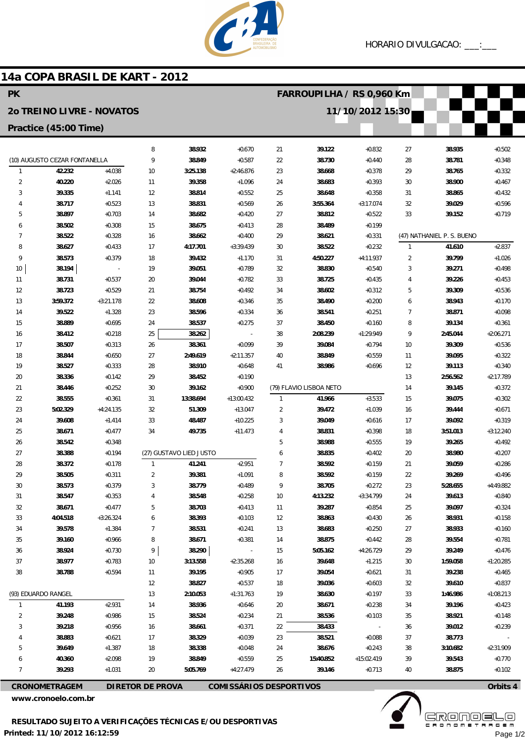

## 14a COPA BRASIL DE KART - 2012

| <b>PK</b>             |                                  |                         |                         |                                |                           | FARROUPILHA / RS 0,960 Km        |                         |                          |                |                            |                      |
|-----------------------|----------------------------------|-------------------------|-------------------------|--------------------------------|---------------------------|----------------------------------|-------------------------|--------------------------|----------------|----------------------------|----------------------|
|                       | <b>20 TREINO LIVRE - NOVATOS</b> |                         |                         |                                |                           |                                  | 11/10/2012 15:30        |                          |                |                            |                      |
| Practice (45:00 Time) |                                  |                         |                         |                                |                           |                                  |                         |                          |                |                            |                      |
|                       |                                  |                         | 8                       | 38.932                         | $+0.670$                  | 21                               | 39.122                  | $+0.832$                 | 27             | 38.935                     | $+0.502$             |
|                       | (10) AUGUSTO CEZAR FONTANELLA    |                         | 9                       | 38.849                         | $+0.587$                  | 22                               | 38.730                  | $+0.440$                 | 28             | 38.781                     | $+0.348$             |
| $\mathbf{1}$          | 42.232                           | $+4.038$                | 10                      | 3:25.138                       | $+2:46.876$               | 23                               | 38.668                  | $+0.378$                 | 29             | 38.765                     | $+0.332$             |
| $\overline{2}$        | 40.220                           | $+2.026$                | 11                      | 39.358                         | $+1.096$                  | 24                               | 38.683                  | $+0.393$                 | 30             | 38.900                     | $+0.467$             |
| 3                     | 39.335                           | $+1.141$                | 12                      | 38.814                         | $+0.552$                  | 25                               | 38.648                  | $+0.358$                 | 31             | 38.865                     | $+0.432$             |
| 4                     | 38.717                           | $+0.523$                | 13                      | 38.831                         | $+0.569$                  | 26                               | 3:55.364                | $+3:17.074$              | 32             | 39.029                     | $+0.596$             |
| 5                     | 38.897                           | $+0.703$                | 14                      | 38.682                         | $+0.420$                  | 27                               | 38.812                  | $+0.522$                 | 33             | 39.152                     | $+0.719$             |
| 6                     | 38.502                           | $+0.308$                | 15                      | 38.675                         | $+0.413$                  | 28                               | 38.489                  | $+0.199$                 |                |                            |                      |
| $\overline{7}$        | 38.522                           | $+0.328$                | 16                      | 38.662                         | $+0.400$                  | 29                               | 38.621                  | $+0.331$                 |                | (47) NATHANIEL P. S. BUENO |                      |
| 8                     | 38.627                           | $+0.433$                | 17                      | 4:17.701                       | $+3:39.439$               | 30                               | 38.522                  | $+0.232$                 | $\mathbf{1}$   | 41.610                     | $+2.837$             |
| 9                     | 38.573                           | $+0.379$                | 18                      | 39.432                         | $+1.170$                  | 31                               | 4:50.227                | $+4:11.937$              | $\overline{2}$ | 39.799                     | $+1.026$             |
| 10                    | 38.194                           |                         | 19                      | 39.051                         | $+0.789$                  | 32                               | 38.830                  | $+0.540$                 | 3              | 39.271                     | $+0.498$             |
| 11                    | 38.731                           | $+0.537$                | 20                      | 39.044                         | $+0.782$                  | 33                               | 38.725                  | $+0.435$                 | 4              | 39.226                     | $+0.453$             |
| 12                    | 38.723                           | $+0.529$                | 21                      | 38.754                         | $+0.492$                  | 34                               | 38.602                  | $+0.312$                 | 5              | 39.309                     | $+0.536$             |
| 13                    | 3:59.372                         | $+3:21.178$             | 22                      | 38.608                         | $+0.346$                  | 35                               | 38.490                  | $+0.200$                 | 6              | 38.943                     | $+0.170$             |
| 14                    | 39.522                           | $+1.328$                | 23                      | 38.596                         | $+0.334$                  | 36                               | 38.541                  | $+0.251$                 | 7              | 38.871                     | $+0.098$             |
| 15                    | 38.889                           | $+0.695$                | 24                      | 38.537                         | $+0.275$                  | 37                               | 38.450                  | $+0.160$                 | 8              | 39.134                     | $+0.361$             |
| 16                    | 38.412                           | $+0.218$                | 25                      | 38.262                         |                           | 38                               | 2:08.239                | $+1:29.949$              | 9              | 2:45.044                   | $+2:06.271$          |
| 17                    | 38.507                           | $+0.313$                | 26                      | 38.361                         | $+0.099$                  | 39                               | 39.084                  | $+0.794$                 | 10             | 39.309                     | $+0.536$             |
| 18                    | 38.844                           | $+0.650$                | 27                      | 2:49.619                       | $+2:11.357$               | 40                               | 38.849                  | $+0.559$                 | 11             | 39.095                     | $+0.322$             |
| 19                    | 38.527                           | $+0.333$                | 28                      | 38.910                         | $+0.648$                  | 41                               | 38.986                  | $+0.696$                 | 12             | 39.113                     | $+0.340$             |
| 20                    | 38.336                           | $+0.142$                | 29                      | 38.452                         | $+0.190$                  |                                  |                         |                          | 13             | 2:56.562                   | $+2:17.789$          |
| 21                    | 38.446                           | $+0.252$                | 30                      | 39.162                         | $+0.900$                  |                                  | (79) FLAVIO LISBOA NETO | $+3.533$                 | 14             | 39.145                     | $+0.372$             |
| 22<br>23              | 38.555<br>5:02.329               | $+0.361$<br>$+4:24.135$ | 31<br>32                | 13:38.694<br>51.309            | $+13:00.432$<br>$+13.047$ | $\overline{1}$<br>$\overline{2}$ | 41.966<br>39.472        | $+1.039$                 | 15<br>16       | 39.075<br>39.444           | $+0.302$<br>$+0.671$ |
| 24                    | 39.608                           | $+1.414$                | 33                      | 48.487                         | $+10.225$                 | 3                                | 39.049                  | $+0.616$                 | 17             | 39.092                     | $+0.319$             |
| 25                    | 38.671                           | $+0.477$                | 34                      | 49.735                         | $+11.473$                 | 4                                | 38.831                  | $+0.398$                 | 18             | 3:51.013                   | $+3:12.240$          |
| 26                    | 38.542                           | $+0.348$                |                         |                                |                           | 5                                | 38.988                  | $+0.555$                 | 19             | 39.265                     | $+0.492$             |
| 27                    | 38.388                           | $+0.194$                |                         | (27) GUSTAVO LIED JUSTO        |                           | 6                                | 38.835                  | $+0.402$                 | 20             | 38.980                     | $+0.207$             |
| 28                    | 38.372                           | $+0.178$                | $\mathbf{1}$            | 41.241                         | $+2.951$                  | $\overline{7}$                   | 38.592                  | $+0.159$                 | 21             | 39.059                     | $+0.286$             |
| 29                    | 38.505                           | $+0.311$                | 2                       | 39.381                         | $+1.091$                  | 8                                | 38.592                  | $+0.159$                 | 22             | 39.269                     | $+0.496$             |
| 30                    | 38.573                           | $+0.379$                | 3                       | 38.779                         | $+0.489$                  | 9                                | 38.705                  | $+0.272$                 | 23             | 5:28.655                   | +4:49.882            |
| 31                    | 38.547                           | $+0.353$                | 4                       | 38.548                         | $+0.258$                  | 10                               | 4:13.232                | $+3:34.799$              | 24             | 39.613                     | $+0.840$             |
| 32                    | 38.671                           | $+0.477$                | 5                       | 38.703                         | $+0.413$                  | 11                               | 39.287                  | $+0.854$                 | 25             | 39.097                     | $+0.324$             |
| 33                    | 4:04.518                         | $+3:26.324$             | 6                       | 38.393                         | $+0.103$                  | 12                               | 38.863                  | $+0.430$                 | 26             | 38.931                     | $+0.158$             |
| 34                    | 39.578                           | $+1.384$                | $\overline{7}$          | 38.531                         | $+0.241$                  | 13                               | 38.683                  | $+0.250$                 | 27             | 38.933                     | $+0.160$             |
| 35                    | 39.160                           | $+0.966$                | 8                       | 38.671                         | $+0.381$                  | 14                               | 38.875                  | $+0.442$                 | 28             | 39.554                     | $+0.781$             |
| 36                    | 38.924                           | $+0.730$                | 9                       | 38.290                         |                           | 15                               | 5:05.162                | $+4:26.729$              | 29             | 39.249                     | $+0.476$             |
| 37                    | 38.977                           | $+0.783$                | $10$                    | 3:13.558                       | $+2:35.268$               | 16                               | 39.648                  | $+1.215$                 | 30             | 1:59.058                   | $+1:20.285$          |
| 38                    | 38.788                           | $+0.594$                | 11                      | 39.195                         | $+0.905$                  | 17                               | 39.054                  | $+0.621$                 | 31             | 39.238                     | $+0.465$             |
|                       |                                  |                         | 12                      | 38.827                         | $+0.537$                  | 18                               | 39.036                  | $+0.603$                 | 32             | 39.610                     | $+0.837$             |
|                       | (93) EDUARDO RANGEL              |                         | 13                      | 2:10.053                       | $+1:31.763$               | 19                               | 38.630                  | $+0.197$                 | 33             | 1:46.986                   | $+1:08.213$          |
| 1                     | 41.193                           | $+2.931$                | 14                      | 38.936                         | $+0.646$                  | 20                               | 38.671                  | $+0.238$                 | 34             | 39.196                     | $+0.423$             |
| $\overline{2}$        | 39.248                           | $+0.986$                | 15                      | 38.524                         | $+0.234$                  | 21                               | 38.536                  | $+0.103$                 | 35             | 38.921                     | $+0.148$             |
| 3                     | 39.218                           | $+0.956$                | 16                      | 38.661                         | $+0.371$                  | 22                               | 38.433                  | $\overline{\phantom{a}}$ | 36             | 39.012                     | $+0.239$             |
|                       | 38.883                           | $+0.621$                | 17                      | 38.329                         | $+0.039$                  | 23                               | 38.521                  | $+0.088$                 | 37             | 38.773                     |                      |
| 5                     | 39.649                           | $+1.387$                | 18                      | 38.338                         | $+0.048$                  | 24                               | 38.676                  | $+0.243$                 | 38             | 3:10.682                   | $+2:31.909$          |
| 6                     | 40.360                           | $+2.098$                | 19                      | 38.849                         | $+0.559$                  | 25                               | 15:40.852               | $+15:02.419$             | 39             | 39.543                     | $+0.770$             |
| $\overline{7}$        | 39.293                           | $+1.031$                | 20                      | 5:05.769                       | $+4:27.479$               | 26                               | 39.146                  | $+0.713$                 | 40             | 38.875                     | $+0.102$             |
|                       | <b>CRONOMETRAGEM</b>             |                         | <b>DIRETOR DE PROVA</b> | <b>COMISSÁRIOS DESPORTIVOS</b> |                           |                                  |                         |                          |                |                            | Orbits 4             |

www.cronoelo.com.br